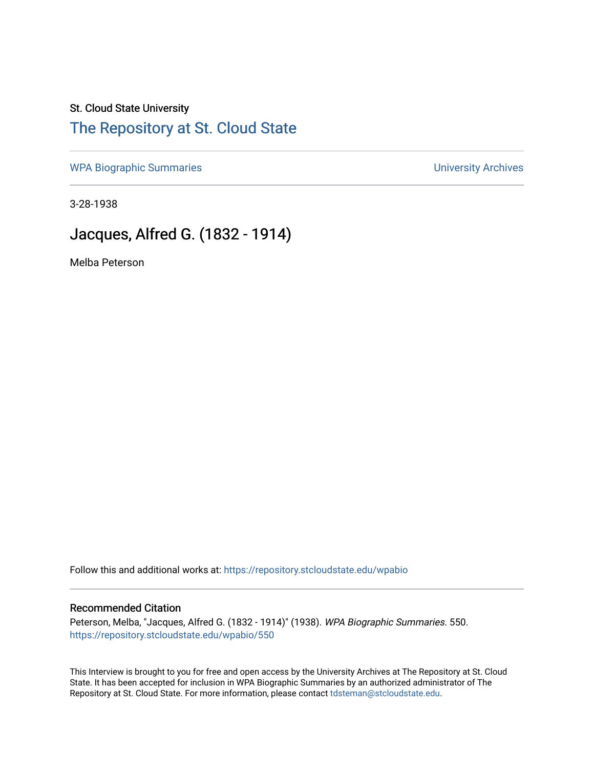# St. Cloud State University

### [The Repository at St. Cloud State](https://repository.stcloudstate.edu/)

[WPA Biographic Summaries](https://repository.stcloudstate.edu/wpabio) **WPA Biographic Summaries University Archives** 

3-28-1938

## Jacques, Alfred G. (1832 - 1914)

Melba Peterson

Follow this and additional works at: [https://repository.stcloudstate.edu/wpabio](https://repository.stcloudstate.edu/wpabio?utm_source=repository.stcloudstate.edu%2Fwpabio%2F550&utm_medium=PDF&utm_campaign=PDFCoverPages) 

#### Recommended Citation

Peterson, Melba, "Jacques, Alfred G. (1832 - 1914)" (1938). WPA Biographic Summaries. 550. [https://repository.stcloudstate.edu/wpabio/550](https://repository.stcloudstate.edu/wpabio/550?utm_source=repository.stcloudstate.edu%2Fwpabio%2F550&utm_medium=PDF&utm_campaign=PDFCoverPages) 

This Interview is brought to you for free and open access by the University Archives at The Repository at St. Cloud State. It has been accepted for inclusion in WPA Biographic Summaries by an authorized administrator of The Repository at St. Cloud State. For more information, please contact [tdsteman@stcloudstate.edu.](mailto:tdsteman@stcloudstate.edu)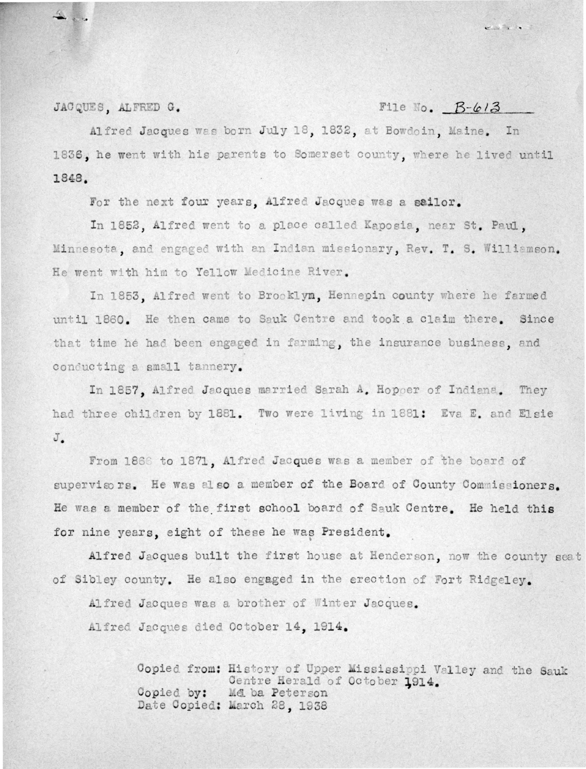#### JACQUES. ALFRED G.

### File No.  $B-6/3$

Alfred Jacques was born July 18, 1832, at Bowdoin, Maine, In 1836, he went with his parents to Somerset county, where he lived until 1848.

For the next four years. Alfred Jacques was a sailor.

In 1852, Alfred went to a place called Kaposia, near St. Paul. Minnesota, and engaged with an Indian missionary, Rev. T. S. Williamson. He went with him to Yellow Medicine River.

In 1853. Alfred went to Brooklyn, Hennepin county where he farmed until 1860. He then came to Sauk Centre and took a claim there. Since that time he had been engaged in farming, the insurance business, and conducting a small tannery.

In 1857, Alfred Jacques married Sarah A. Hopper of Indiana. They had three children by 1881. Two were living in 1881: Eva E. and Elsie J.

From 1866 to 1871. Alfred Jacques was a member of the board of supervisors. He was also a member of the Board of County Commissioners. He was a member of the first school board of Sauk Centre. He held this for nine years, eight of these he was President.

Alfred Jacques built the first house at Henderson, now the county seat of Sibley county. He also engaged in the erection of Fort Ridgeley.

Alfred Jacques was a brother of Winter Jacques.

Alfred Jacques died October 14. 1914.

Copied from: History of Upper Mississippi Valley and the Sauk Centre Herald of October 1914. Me ba Peterson Copied by: Date Copied: March 28, 1938